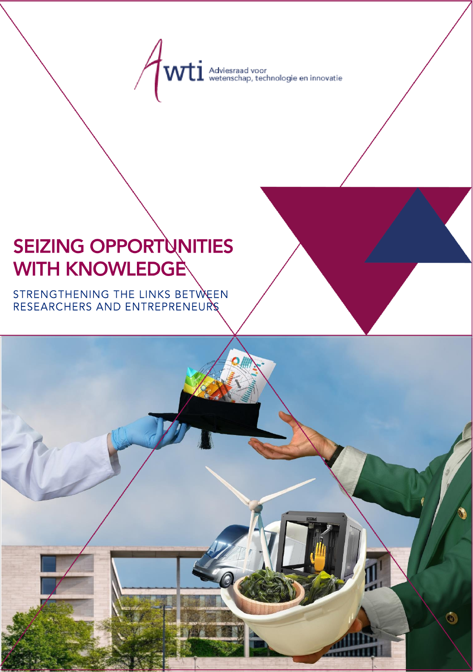$\overline{\text{Vli}}$  Adviesraad voor<br>wetenschap, technologie en innovatie

# SEIZING OPPORTUNITIES<br>WITH KNOWLEDGE

STRENGTHENING THE LINKS BETWEEN<br>RESEARCHERS AND ENTREPRENEURS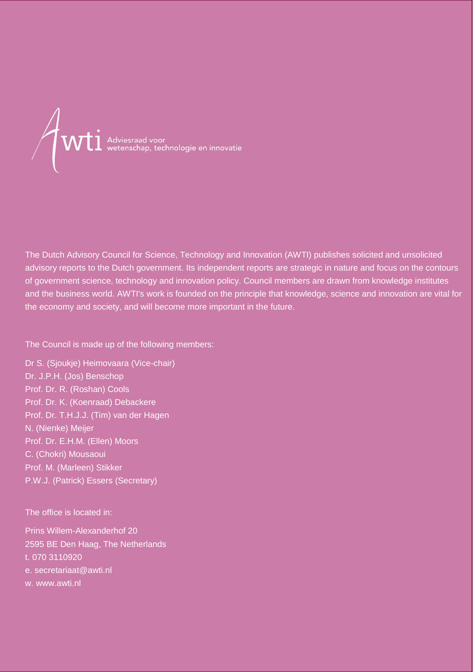

The Dutch Advisory Council for Science, Technology and Innovation (AWTI) publishes solicited and unsolicited advisory reports to the Dutch government. Its independent reports are strategic in nature and focus on the contours of government science, technology and innovation policy. Council members are drawn from knowledge institutes and the business world. AWTI's work is founded on the principle that knowledge, science and innovation are vital for the economy and society, and will become more important in the future.

The Council is made up of the following members:

Dr S. (Sjoukje) Heimovaara (Vice-chair) Dr. J.P.H. (Jos) Benschop Prof. Dr. R. (Roshan) Cools Prof. Dr. K. (Koenraad) Debackere Prof. Dr. T.H.J.J. (Tim) van der Hagen N. (Nienke) Meijer Prof. Dr. E.H.M. (Ellen) Moors C. (Chokri) Mousaoui Prof. M. (Marleen) Stikker P.W.J. (Patrick) Essers (Secretary)

The office is located in:

Prins Willem-Alexanderhof 20 2595 BE Den Haag, The Netherlands t. 070 3110920 e. secretariaat@awti.nl w. www.awti.nl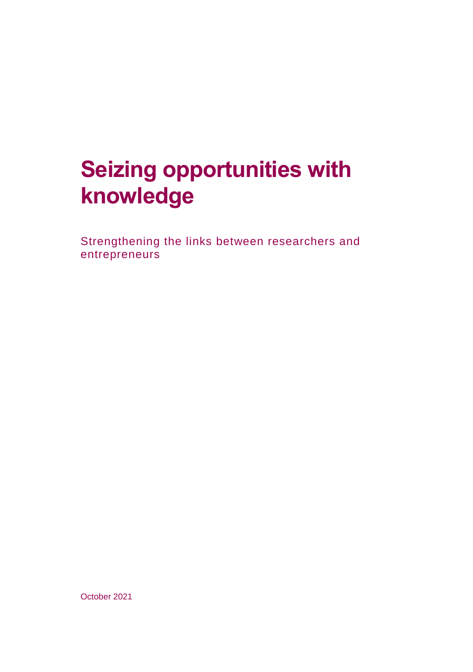## **Seizing opportunities with knowledge**

Strengthening the links between researchers and entrepreneurs

October 2021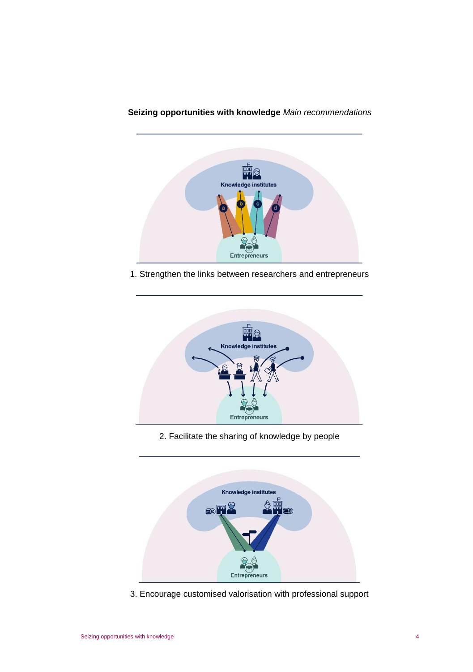

#### **Seizing opportunities with knowledge** *Main recommendations*

1. Strengthen the links between researchers and entrepreneurs



2. Facilitate the sharing of knowledge by people



3. Encourage customised valorisation with professional support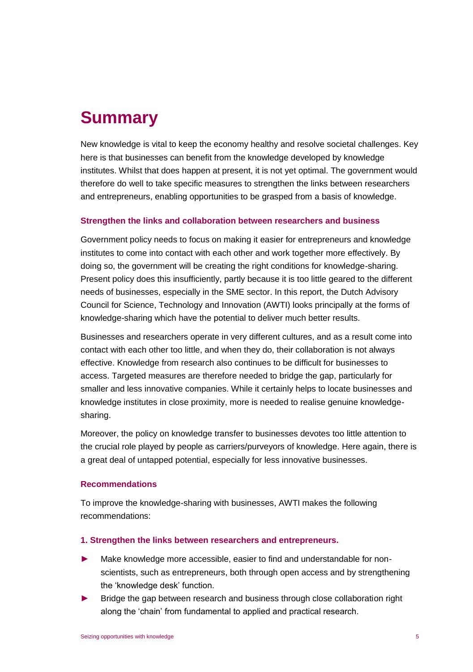### **Summary**

New knowledge is vital to keep the economy healthy and resolve societal challenges. Key here is that businesses can benefit from the knowledge developed by knowledge institutes. Whilst that does happen at present, it is not yet optimal. The government would therefore do well to take specific measures to strengthen the links between researchers and entrepreneurs, enabling opportunities to be grasped from a basis of knowledge.

#### **Strengthen the links and collaboration between researchers and business**

Government policy needs to focus on making it easier for entrepreneurs and knowledge institutes to come into contact with each other and work together more effectively. By doing so, the government will be creating the right conditions for knowledge-sharing. Present policy does this insufficiently, partly because it is too little geared to the different needs of businesses, especially in the SME sector. In this report, the Dutch Advisory Council for Science, Technology and Innovation (AWTI) looks principally at the forms of knowledge-sharing which have the potential to deliver much better results.

Businesses and researchers operate in very different cultures, and as a result come into contact with each other too little, and when they do, their collaboration is not always effective. Knowledge from research also continues to be difficult for businesses to access. Targeted measures are therefore needed to bridge the gap, particularly for smaller and less innovative companies. While it certainly helps to locate businesses and knowledge institutes in close proximity, more is needed to realise genuine knowledgesharing.

Moreover, the policy on knowledge transfer to businesses devotes too little attention to the crucial role played by people as carriers/purveyors of knowledge. Here again, there is a great deal of untapped potential, especially for less innovative businesses.

#### **Recommendations**

To improve the knowledge-sharing with businesses, AWTI makes the following recommendations:

#### **1. Strengthen the links between researchers and entrepreneurs.**

- Make knowledge more accessible, easier to find and understandable for nonscientists, such as entrepreneurs, both through open access and by strengthening the 'knowledge desk' function.
- Bridge the gap between research and business through close collaboration right along the 'chain' from fundamental to applied and practical research.